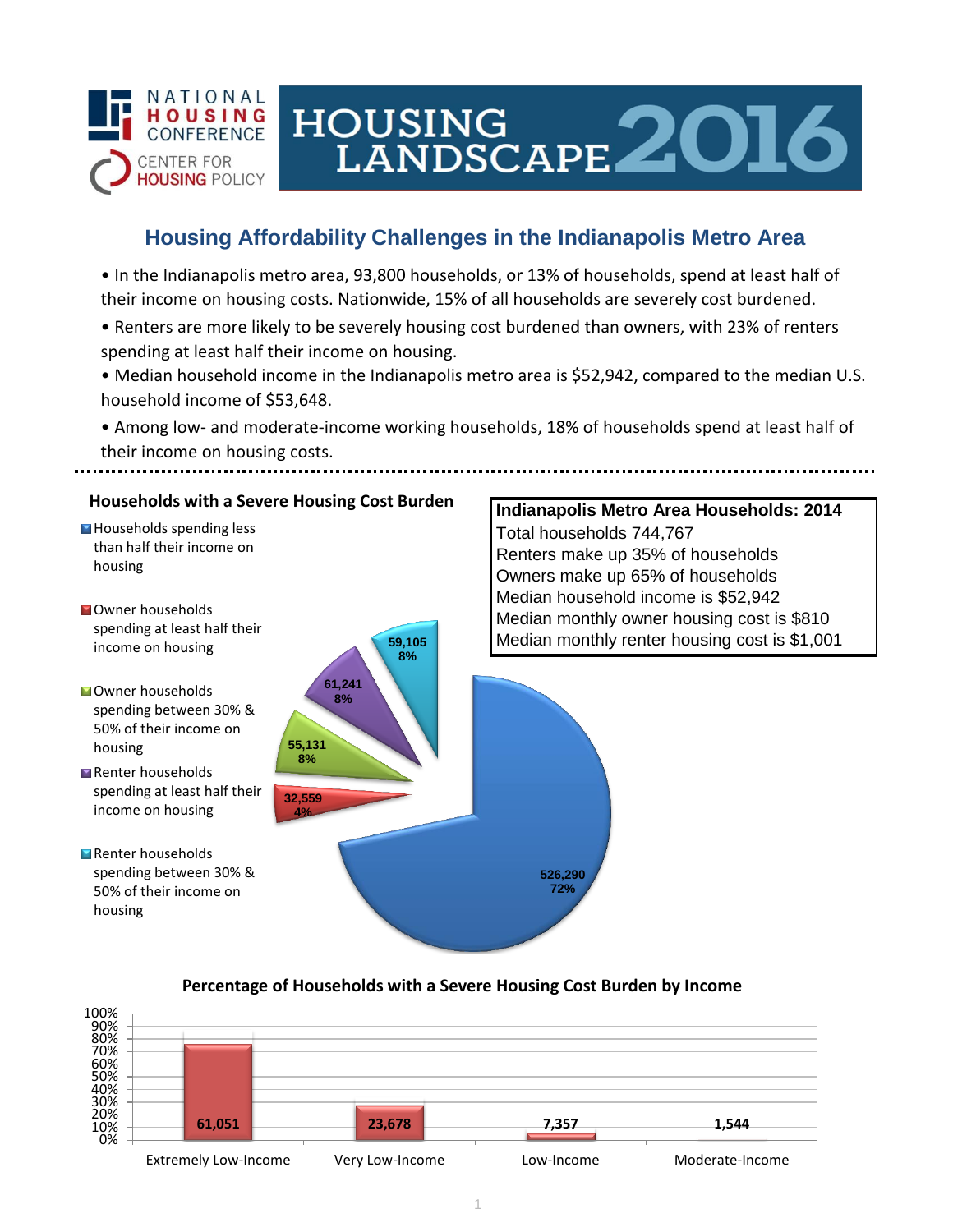

# HOUSING<br>LANDSCAPE 2016

## **Housing Affordability Challenges in the Indianapolis Metro Area**

• In the Indianapolis metro area, 93,800 households, or 13% of households, spend at least half of their income on housing costs. Nationwide, 15% of all households are severely cost burdened.

- Renters are more likely to be severely housing cost burdened than owners, with 23% of renters spending at least half their income on housing.
- Median household income in the Indianapolis metro area is \$52,942, compared to the median U.S. household income of \$53,648.

• Among low- and moderate-income working households, 18% of households spend at least half of their income on housing costs.

## **Households with a Severe Housing Cost Burden**

Households spending less than half their income on housing

- **N**Owner households spending at least half their income on housing
- **Owner households** spending between 30% & 50% of their income on housing
- Renter households spending at least half their income on housing
- Renter households spending between 30% & 50% of their income on housing



## **Indianapolis Metro Area Households: 2014** Total households 744,767 Renters make up 35% of households Owners make up 65% of households Median household income is \$52,942 Median monthly owner housing cost is \$810 Median monthly renter housing cost is \$1,001

#### **Percentage of Households with a Severe Housing Cost Burden by Income**